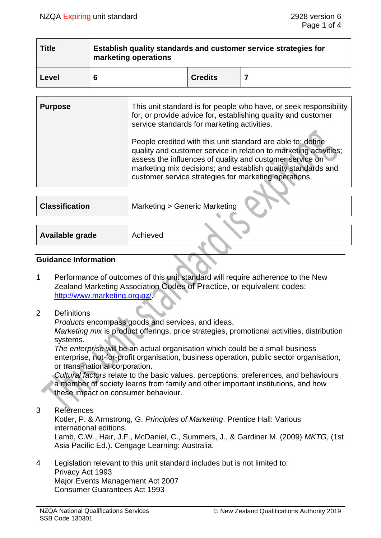| <b>Title</b> | Establish quality standards and customer service strategies for<br>marketing operations |                |  |  |
|--------------|-----------------------------------------------------------------------------------------|----------------|--|--|
| Level        |                                                                                         | <b>Credits</b> |  |  |

| <b>Purpose</b> | This unit standard is for people who have, or seek responsibility<br>for, or provide advice for, establishing quality and customer<br>service standards for marketing activities.                                                                                                                                     |
|----------------|-----------------------------------------------------------------------------------------------------------------------------------------------------------------------------------------------------------------------------------------------------------------------------------------------------------------------|
|                | People credited with this unit standard are able to: define<br>quality and customer service in relation to marketing activities;<br>assess the influences of quality and customer service on<br>marketing mix decisions; and establish quality standards and<br>customer service strategies for marketing operations. |
|                |                                                                                                                                                                                                                                                                                                                       |
|                |                                                                                                                                                                                                                                                                                                                       |

| <b>Classification</b> | Marketing > Generic Marketing |
|-----------------------|-------------------------------|
|                       |                               |
| Available grade       | Achieved                      |

### **Guidance Information**

- 1 Performance of outcomes of this unit standard will require adherence to the New Zealand Marketing Association Codes of Practice, or equivalent codes: [http://www.marketing.org.nz/.](http://www.marketing.org.nz/)
- 2 Definitions

*Products* encompass goods and services, and ideas. *Marketing mix* is product offerings, price strategies, promotional activities, distribution systems.

*The enterprise* will be an actual organisation which could be a small business enterprise, not-for-profit organisation, business operation, public sector organisation, or trans-national corporation.

*Cultural factors* relate to the basic values, perceptions, preferences, and behaviours a member of society learns from family and other important institutions, and how these impact on consumer behaviour.

3 References

Kotler, P. & Armstrong, G. *Principles of Marketing*. Prentice Hall: Various international editions.

Lamb, C.W., Hair, J.F., McDaniel, C., Summers, J., & Gardiner M. (2009) *MKTG*, (1st Asia Pacific Ed.). Cengage Learning: Australia.

4 Legislation relevant to this unit standard includes but is not limited to: Privacy Act 1993 Major Events Management Act 2007 Consumer Guarantees Act 1993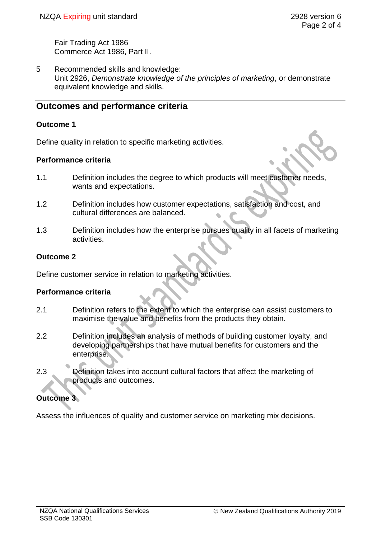Fair Trading Act 1986 Commerce Act 1986, Part II.

5 Recommended skills and knowledge: Unit 2926, *Demonstrate knowledge of the principles of marketing*, or demonstrate equivalent knowledge and skills.

# **Outcomes and performance criteria**

### **Outcome 1**

Define quality in relation to specific marketing activities.

### **Performance criteria**

- 1.1 Definition includes the degree to which products will meet customer needs, wants and expectations.
- 1.2 Definition includes how customer expectations, satisfaction and cost, and cultural differences are balanced.
- 1.3 Definition includes how the enterprise pursues quality in all facets of marketing activities.

### **Outcome 2**

Define customer service in relation to marketing activities.

### **Performance criteria**

- 2.1 Definition refers to the extent to which the enterprise can assist customers to maximise the value and benefits from the products they obtain.
- 2.2 Definition includes an analysis of methods of building customer loyalty, and developing partnerships that have mutual benefits for customers and the enterprise.
- 2.3 Definition takes into account cultural factors that affect the marketing of products and outcomes.

## **Outcome 3**

Assess the influences of quality and customer service on marketing mix decisions.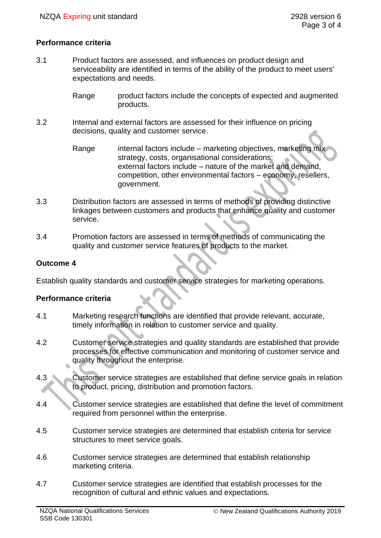### **Performance criteria**

- 3.1 Product factors are assessed, and influences on product design and serviceability are identified in terms of the ability of the product to meet users' expectations and needs.
	- Range product factors include the concepts of expected and augmented products.
- 3.2 Internal and external factors are assessed for their influence on pricing decisions, quality and customer service.
	- Range internal factors include marketing objectives, marketing mix strategy, costs, organisational considerations; external factors include – nature of the market and demand, competition, other environmental factors – economy, resellers, government.
- 3.3 Distribution factors are assessed in terms of methods of providing distinctive linkages between customers and products that enhance quality and customer service.
- 3.4 Promotion factors are assessed in terms of methods of communicating the quality and customer service features of products to the market.

### **Outcome 4**

Establish quality standards and customer service strategies for marketing operations.

#### **Performance criteria**

- 4.1 Marketing research functions are identified that provide relevant, accurate, timely information in relation to customer service and quality.
- 4.2 Customer service strategies and quality standards are established that provide processes for effective communication and monitoring of customer service and quality throughout the enterprise.
- 4.3 Customer service strategies are established that define service goals in relation to product, pricing, distribution and promotion factors.
- 4.4 Customer service strategies are established that define the level of commitment required from personnel within the enterprise.
- 4.5 Customer service strategies are determined that establish criteria for service structures to meet service goals.
- 4.6 Customer service strategies are determined that establish relationship marketing criteria.
- 4.7 Customer service strategies are identified that establish processes for the recognition of cultural and ethnic values and expectations.